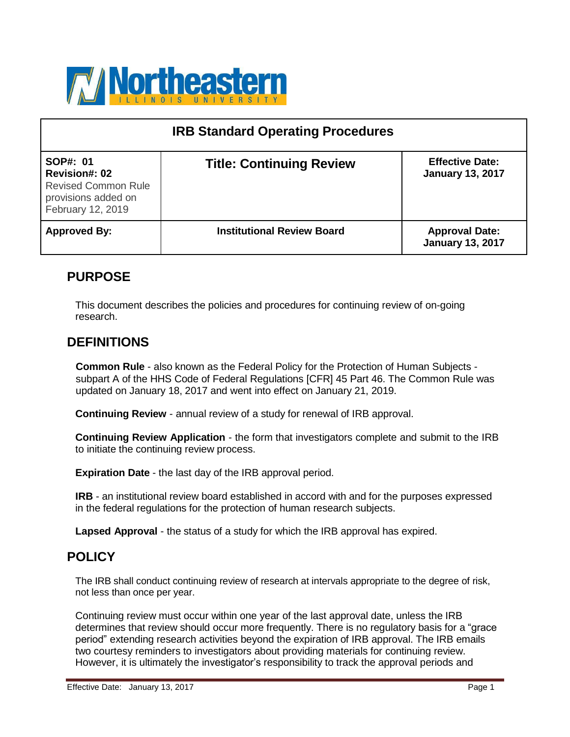

| <b>IRB Standard Operating Procedures</b>                                                                   |                                   |                                                   |  |
|------------------------------------------------------------------------------------------------------------|-----------------------------------|---------------------------------------------------|--|
| SOP#: 01<br><b>Revision#: 02</b><br><b>Revised Common Rule</b><br>provisions added on<br>February 12, 2019 | <b>Title: Continuing Review</b>   | <b>Effective Date:</b><br><b>January 13, 2017</b> |  |
| <b>Approved By:</b>                                                                                        | <b>Institutional Review Board</b> | <b>Approval Date:</b><br><b>January 13, 2017</b>  |  |

# **PURPOSE**

This document describes the policies and procedures for continuing review of on-going research.

# **DEFINITIONS**

**Common Rule** - also known as the Federal Policy for the Protection of Human Subjects subpart A of the HHS Code of Federal Regulations [CFR] 45 Part 46. The Common Rule was updated on January 18, 2017 and went into effect on January 21, 2019.

**Continuing Review** - annual review of a study for renewal of IRB approval.

**Continuing Review Application** - the form that investigators complete and submit to the IRB to initiate the continuing review process.

**Expiration Date** - the last day of the IRB approval period.

**IRB** - an institutional review board established in accord with and for the purposes expressed in the federal regulations for the protection of human research subjects.

**Lapsed Approval** - the status of a study for which the IRB approval has expired.

## **POLICY**

The IRB shall conduct continuing review of research at intervals appropriate to the degree of risk, not less than once per year.

Continuing review must occur within one year of the last approval date, unless the IRB determines that review should occur more frequently. There is no regulatory basis for a "grace period" extending research activities beyond the expiration of IRB approval. The IRB emails two courtesy reminders to investigators about providing materials for continuing review. However, it is ultimately the investigator's responsibility to track the approval periods and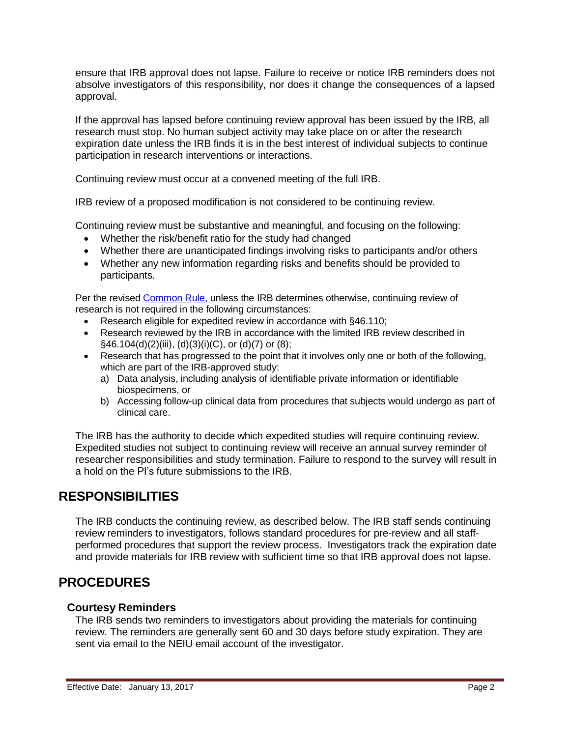ensure that IRB approval does not lapse. Failure to receive or notice IRB reminders does not absolve investigators of this responsibility, nor does it change the consequences of a lapsed approval.

If the approval has lapsed before continuing review approval has been issued by the IRB, all research must stop. No human subject activity may take place on or after the research expiration date unless the IRB finds it is in the best interest of individual subjects to continue participation in research interventions or interactions.

Continuing review must occur at a convened meeting of the full IRB.

IRB review of a proposed modification is not considered to be continuing review.

Continuing review must be substantive and meaningful, and focusing on the following:

- Whether the risk/benefit ratio for the study had changed
- Whether there are unanticipated findings involving risks to participants and/or others
- Whether any new information regarding risks and benefits should be provided to participants.

Per the revised [Common](https://www.ecfr.gov/cgi-bin/retrieveECFR?gp&SID=83cd09e1c0f5c6937cd9d7513160fc3f&pitd=20180719&n=pt45.1.46&r=PART&ty=HTML&se45.1.46_1109) Rule, unless the IRB determines otherwise, continuing review of research is not required in the following circumstances:

- Research eligible for expedited review in accordance with §46.110;
- Research reviewed by the IRB in accordance with the limited IRB review described in  $\S$ 46.104(d)(2)(iii), (d)(3)(i)(C), or (d)(7) or (8);
- Research that has progressed to the point that it involves only one or both of the following, which are part of the IRB-approved study:
	- a) Data analysis, including analysis of identifiable private information or identifiable biospecimens, or
	- b) Accessing follow-up clinical data from procedures that subjects would undergo as part of clinical care.

The IRB has the authority to decide which expedited studies will require continuing review. Expedited studies not subject to continuing review will receive an annual survey reminder of researcher responsibilities and study termination. Failure to respond to the survey will result in a hold on the PI's future submissions to the IRB.

# **RESPONSIBILITIES**

The IRB conducts the continuing review, as described below. The IRB staff sends continuing review reminders to investigators, follows standard procedures for pre-review and all staffperformed procedures that support the review process. Investigators track the expiration date and provide materials for IRB review with sufficient time so that IRB approval does not lapse.

# **PROCEDURES**

## **Courtesy Reminders**

The IRB sends two reminders to investigators about providing the materials for continuing review. The reminders are generally sent 60 and 30 days before study expiration. They are sent via email to the NEIU email account of the investigator.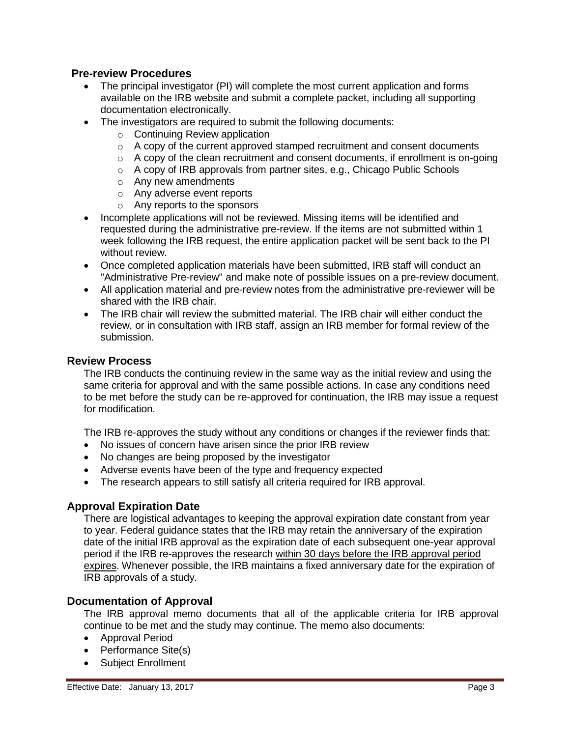## **Pre-review Procedures**

- The principal investigator (PI) will complete the most current application and forms available on the IRB website and submit a complete packet, including all supporting documentation electronically.
- The investigators are required to submit the following documents:
	- o Continuing Review application
	- $\circ$  A copy of the current approved stamped recruitment and consent documents
	- $\circ$  A copy of the clean recruitment and consent documents, if enrollment is on-going
	- o A copy of IRB approvals from partner sites, e.g., Chicago Public Schools
	- o Any new amendments
	- o Any adverse event reports
	- o Any reports to the sponsors
- Incomplete applications will not be reviewed. Missing items will be identified and requested during the administrative pre-review. If the items are not submitted within 1 week following the IRB request, the entire application packet will be sent back to the PI without review.
- Once completed application materials have been submitted, IRB staff will conduct an "Administrative Pre-review" and make note of possible issues on a pre-review document.
- All application material and pre-review notes from the administrative pre-reviewer will be shared with the IRB chair.
- The IRB chair will review the submitted material. The IRB chair will either conduct the review, or in consultation with IRB staff, assign an IRB member for formal review of the submission.

#### **Review Process**

The IRB conducts the continuing review in the same way as the initial review and using the same criteria for approval and with the same possible actions. In case any conditions need to be met before the study can be re-approved for continuation, the IRB may issue a request for modification.

The IRB re-approves the study without any conditions or changes if the reviewer finds that:

- No issues of concern have arisen since the prior IRB review
- No changes are being proposed by the investigator
- Adverse events have been of the type and frequency expected
- The research appears to still satisfy all criteria required for IRB approval.

#### **Approval Expiration Date**

There are logistical advantages to keeping the approval expiration date constant from year to year. Federal guidance states that the IRB may retain the anniversary of the expiration date of the initial IRB approval as the expiration date of each subsequent one-year approval period if the IRB re-approves the research within 30 days before the IRB approval period expires. Whenever possible, the IRB maintains a fixed anniversary date for the expiration of IRB approvals of a study.

#### **Documentation of Approval**

The IRB approval memo documents that all of the applicable criteria for IRB approval continue to be met and the study may continue. The memo also documents:

- Approval Period
- Performance Site(s)
- Subject Enrollment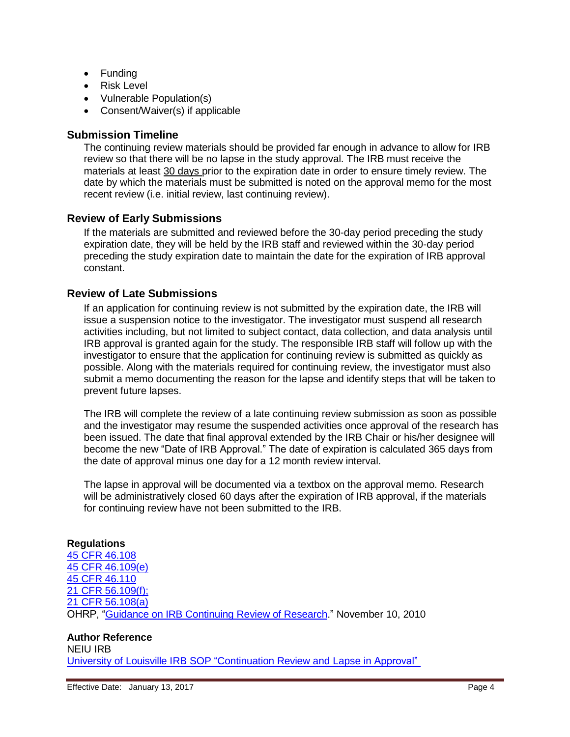- Funding
- Risk Level
- Vulnerable Population(s)
- Consent/Waiver(s) if applicable

#### **Submission Timeline**

The continuing review materials should be provided far enough in advance to allow for IRB review so that there will be no lapse in the study approval. The IRB must receive the materials at least 30 days prior to the expiration date in order to ensure timely review. The date by which the materials must be submitted is noted on the approval memo for the most recent review (i.e. initial review, last continuing review).

### **Review of Early Submissions**

If the materials are submitted and reviewed before the 30-day period preceding the study expiration date, they will be held by the IRB staff and reviewed within the 30-day period preceding the study expiration date to maintain the date for the expiration of IRB approval constant.

### **Review of Late Submissions**

If an application for continuing review is not submitted by the expiration date, the IRB will issue a suspension notice to the investigator. The investigator must suspend all research activities including, but not limited to subject contact, data collection, and data analysis until IRB approval is granted again for the study. The responsible IRB staff will follow up with the investigator to ensure that the application for continuing review is submitted as quickly as possible. Along with the materials required for continuing review, the investigator must also submit a memo documenting the reason for the lapse and identify steps that will be taken to prevent future lapses.

The IRB will complete the review of a late continuing review submission as soon as possible and the investigator may resume the suspended activities once approval of the research has been issued. The date that final approval extended by the IRB Chair or his/her designee will become the new "Date of IRB Approval." The date of expiration is calculated 365 days from the date of approval minus one day for a 12 month review interval.

The lapse in approval will be documented via a textbox on the approval memo. Research will be administratively closed 60 days after the expiration of IRB approval, if the materials for continuing review have not been submitted to the IRB.

#### **Regulations** [45 CFR 46.108](https://www.ecfr.gov/cgi-bin/retrieveECFR?gp&SID=83cd09e1c0f5c6937cd9d7513160fc3f&pitd=20180719&n=pt45.1.46&r=PART&ty=HTML&se45.1.46_1108) [45 CFR 46.109\(e\)](https://www.ecfr.gov/cgi-bin/retrieveECFR?gp&SID=83cd09e1c0f5c6937cd9d7513160fc3f&pitd=20180719&n=pt45.1.46&r=PART&ty=HTML&se45.1.46_1109) [45 CFR 46.110](https://www.ecfr.gov/cgi-bin/retrieveECFR?gp&SID=83cd09e1c0f5c6937cd9d7513160fc3f&pitd=20180719&n=pt45.1.46&r=PART&ty=HTML&se45.1.46_1108) [21 CFR 56.109\(f\);](https://www.accessdata.fda.gov/scripts/cdrh/cfdocs/cfcfr/CFRSearch.cfm?fr=56.109) [21 CFR 56.108\(a\)](https://www.accessdata.fda.gov/scripts/cdrh/cfdocs/cfcfr/cfrsearch.cfm?fr=56.108) OHRP, "Guidance on IRB [Continuing](https://www.hhs.gov/ohrp/regulations-and-policy/guidance/guidance-on-continuing-review-2010/index.html) Review of Research." November 10, 2010

#### **Author Reference**

NEIU IRB University of Louisville IRB SOP ["Continuation](http://louisville.edu/research/humansubjects/policies/lapse-in-approval) Review and Lapse in Approval"